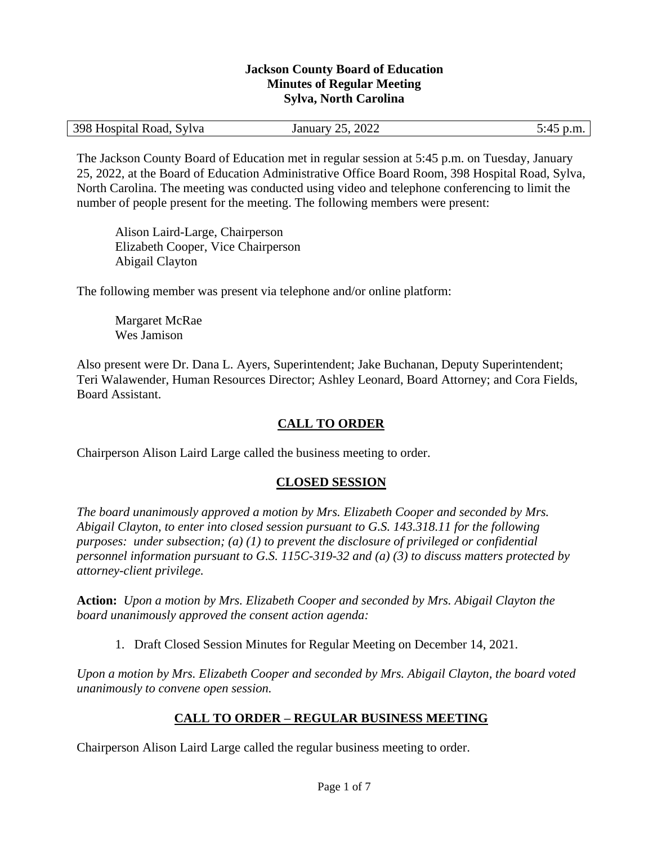#### **Jackson County Board of Education Minutes of Regular Meeting Sylva, North Carolina**

The Jackson County Board of Education met in regular session at 5:45 p.m. on Tuesday, January 25, 2022, at the Board of Education Administrative Office Board Room, 398 Hospital Road, Sylva, North Carolina. The meeting was conducted using video and telephone conferencing to limit the number of people present for the meeting. The following members were present:

Alison Laird-Large, Chairperson Elizabeth Cooper, Vice Chairperson Abigail Clayton

The following member was present via telephone and/or online platform:

Margaret McRae Wes Jamison

Also present were Dr. Dana L. Ayers, Superintendent; Jake Buchanan, Deputy Superintendent; Teri Walawender, Human Resources Director; Ashley Leonard, Board Attorney; and Cora Fields, Board Assistant.

## **CALL TO ORDER**

Chairperson Alison Laird Large called the business meeting to order.

### **CLOSED SESSION**

*The board unanimously approved a motion by Mrs. Elizabeth Cooper and seconded by Mrs. Abigail Clayton, to enter into closed session pursuant to G.S. 143.318.11 for the following purposes: under subsection; (a) (1) to prevent the disclosure of privileged or confidential personnel information pursuant to G.S. 115C-319-32 and (a) (3) to discuss matters protected by attorney-client privilege.* 

**Action:** *Upon a motion by Mrs. Elizabeth Cooper and seconded by Mrs. Abigail Clayton the board unanimously approved the consent action agenda:*

1. Draft Closed Session Minutes for Regular Meeting on December 14, 2021.

*Upon a motion by Mrs. Elizabeth Cooper and seconded by Mrs. Abigail Clayton, the board voted unanimously to convene open session.*

### **CALL TO ORDER – REGULAR BUSINESS MEETING**

Chairperson Alison Laird Large called the regular business meeting to order.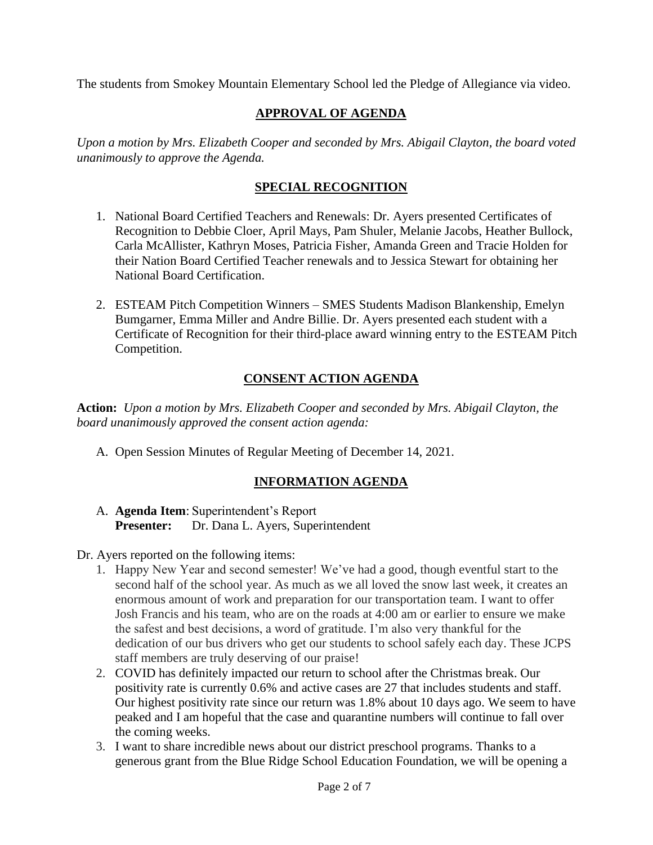The students from Smokey Mountain Elementary School led the Pledge of Allegiance via video.

# **APPROVAL OF AGENDA**

*Upon a motion by Mrs. Elizabeth Cooper and seconded by Mrs. Abigail Clayton, the board voted unanimously to approve the Agenda.*

# **SPECIAL RECOGNITION**

- 1. National Board Certified Teachers and Renewals: Dr. Ayers presented Certificates of Recognition to Debbie Cloer, April Mays, Pam Shuler, Melanie Jacobs, Heather Bullock, Carla McAllister, Kathryn Moses, Patricia Fisher, Amanda Green and Tracie Holden for their Nation Board Certified Teacher renewals and to Jessica Stewart for obtaining her National Board Certification.
- 2. ESTEAM Pitch Competition Winners SMES Students Madison Blankenship, Emelyn Bumgarner, Emma Miller and Andre Billie. Dr. Ayers presented each student with a Certificate of Recognition for their third-place award winning entry to the ESTEAM Pitch Competition.

# **CONSENT ACTION AGENDA**

**Action:** *Upon a motion by Mrs. Elizabeth Cooper and seconded by Mrs. Abigail Clayton, the board unanimously approved the consent action agenda:*

A. Open Session Minutes of Regular Meeting of December 14, 2021.

# **INFORMATION AGENDA**

A. **Agenda Item**: Superintendent's Report **Presenter:** Dr. Dana L. Ayers, Superintendent

# Dr. Ayers reported on the following items:

- 1. Happy New Year and second semester! We've had a good, though eventful start to the second half of the school year. As much as we all loved the snow last week, it creates an enormous amount of work and preparation for our transportation team. I want to offer Josh Francis and his team, who are on the roads at 4:00 am or earlier to ensure we make the safest and best decisions, a word of gratitude. I'm also very thankful for the dedication of our bus drivers who get our students to school safely each day. These JCPS staff members are truly deserving of our praise!
- 2. COVID has definitely impacted our return to school after the Christmas break. Our positivity rate is currently 0.6% and active cases are 27 that includes students and staff. Our highest positivity rate since our return was 1.8% about 10 days ago. We seem to have peaked and I am hopeful that the case and quarantine numbers will continue to fall over the coming weeks.
- 3. I want to share incredible news about our district preschool programs. Thanks to a generous grant from the Blue Ridge School Education Foundation, we will be opening a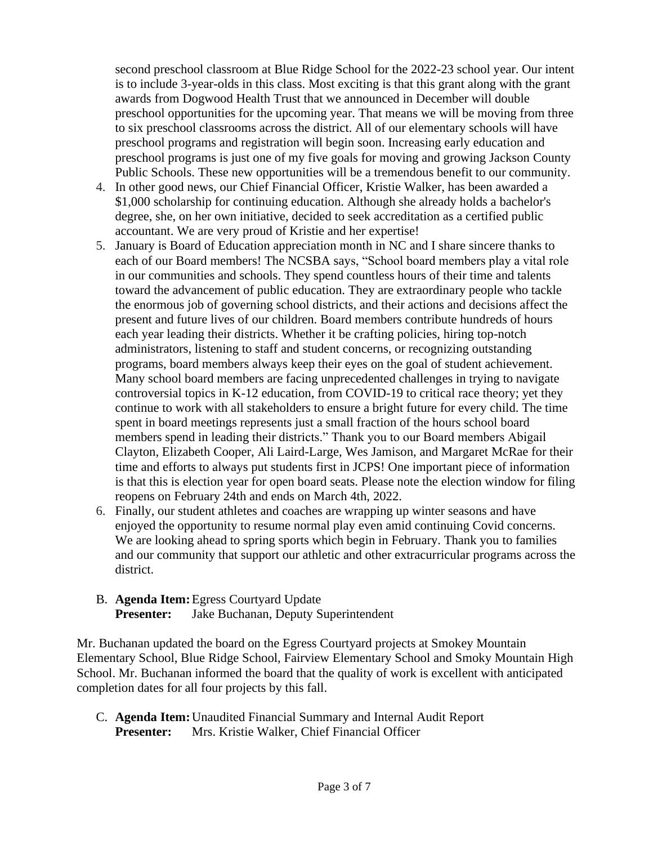second preschool classroom at Blue Ridge School for the 2022-23 school year. Our intent is to include 3-year-olds in this class. Most exciting is that this grant along with the grant awards from Dogwood Health Trust that we announced in December will double preschool opportunities for the upcoming year. That means we will be moving from three to six preschool classrooms across the district. All of our elementary schools will have preschool programs and registration will begin soon. Increasing early education and preschool programs is just one of my five goals for moving and growing Jackson County Public Schools. These new opportunities will be a tremendous benefit to our community.

- 4. In other good news, our Chief Financial Officer, Kristie Walker, has been awarded a \$1,000 scholarship for continuing education. Although she already holds a bachelor's degree, she, on her own initiative, decided to seek accreditation as a certified public accountant. We are very proud of Kristie and her expertise!
- 5. January is Board of Education appreciation month in NC and I share sincere thanks to each of our Board members! The NCSBA says, "School board members play a vital role in our communities and schools. They spend countless hours of their time and talents toward the advancement of public education. They are extraordinary people who tackle the enormous job of governing school districts, and their actions and decisions affect the present and future lives of our children. Board members contribute hundreds of hours each year leading their districts. Whether it be crafting policies, hiring top-notch administrators, listening to staff and student concerns, or recognizing outstanding programs, board members always keep their eyes on the goal of student achievement. Many school board members are facing unprecedented challenges in trying to navigate controversial topics in K-12 education, from COVID-19 to critical race theory; yet they continue to work with all stakeholders to ensure a bright future for every child. The time spent in board meetings represents just a small fraction of the hours school board members spend in leading their districts." Thank you to our Board members Abigail Clayton, Elizabeth Cooper, Ali Laird-Large, Wes Jamison, and Margaret McRae for their time and efforts to always put students first in JCPS! One important piece of information is that this is election year for open board seats. Please note the election window for filing reopens on February 24th and ends on March 4th, 2022.
- 6. Finally, our student athletes and coaches are wrapping up winter seasons and have enjoyed the opportunity to resume normal play even amid continuing Covid concerns. We are looking ahead to spring sports which begin in February. Thank you to families and our community that support our athletic and other extracurricular programs across the district.
- B. **Agenda Item:**Egress Courtyard Update **Presenter:** Jake Buchanan, Deputy Superintendent

Mr. Buchanan updated the board on the Egress Courtyard projects at Smokey Mountain Elementary School, Blue Ridge School, Fairview Elementary School and Smoky Mountain High School. Mr. Buchanan informed the board that the quality of work is excellent with anticipated completion dates for all four projects by this fall.

C. **Agenda Item:**Unaudited Financial Summary and Internal Audit Report **Presenter:** Mrs. Kristie Walker, Chief Financial Officer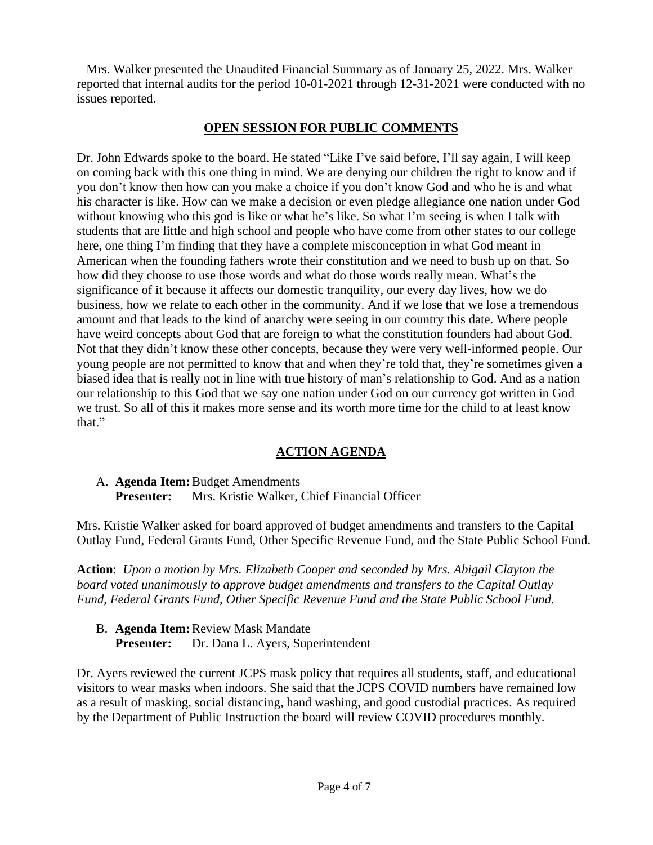Mrs. Walker presented the Unaudited Financial Summary as of January 25, 2022. Mrs. Walker reported that internal audits for the period 10-01-2021 through 12-31-2021 were conducted with no issues reported.

## **OPEN SESSION FOR PUBLIC COMMENTS**

Dr. John Edwards spoke to the board. He stated "Like I've said before, I'll say again, I will keep on coming back with this one thing in mind. We are denying our children the right to know and if you don't know then how can you make a choice if you don't know God and who he is and what his character is like. How can we make a decision or even pledge allegiance one nation under God without knowing who this god is like or what he's like. So what I'm seeing is when I talk with students that are little and high school and people who have come from other states to our college here, one thing I'm finding that they have a complete misconception in what God meant in American when the founding fathers wrote their constitution and we need to bush up on that. So how did they choose to use those words and what do those words really mean. What's the significance of it because it affects our domestic tranquility, our every day lives, how we do business, how we relate to each other in the community. And if we lose that we lose a tremendous amount and that leads to the kind of anarchy were seeing in our country this date. Where people have weird concepts about God that are foreign to what the constitution founders had about God. Not that they didn't know these other concepts, because they were very well-informed people. Our young people are not permitted to know that and when they're told that, they're sometimes given a biased idea that is really not in line with true history of man's relationship to God. And as a nation our relationship to this God that we say one nation under God on our currency got written in God we trust. So all of this it makes more sense and its worth more time for the child to at least know that."

# **ACTION AGENDA**

A. **Agenda Item:**Budget Amendments **Presenter:** Mrs. Kristie Walker, Chief Financial Officer

Mrs. Kristie Walker asked for board approved of budget amendments and transfers to the Capital Outlay Fund, Federal Grants Fund, Other Specific Revenue Fund, and the State Public School Fund.

**Action**: *Upon a motion by Mrs. Elizabeth Cooper and seconded by Mrs. Abigail Clayton the board voted unanimously to approve budget amendments and transfers to the Capital Outlay Fund, Federal Grants Fund, Other Specific Revenue Fund and the State Public School Fund.*

B. **Agenda Item:**Review Mask Mandate **Presenter:** Dr. Dana L. Ayers, Superintendent

Dr. Ayers reviewed the current JCPS mask policy that requires all students, staff, and educational visitors to wear masks when indoors. She said that the JCPS COVID numbers have remained low as a result of masking, social distancing, hand washing, and good custodial practices. As required by the Department of Public Instruction the board will review COVID procedures monthly.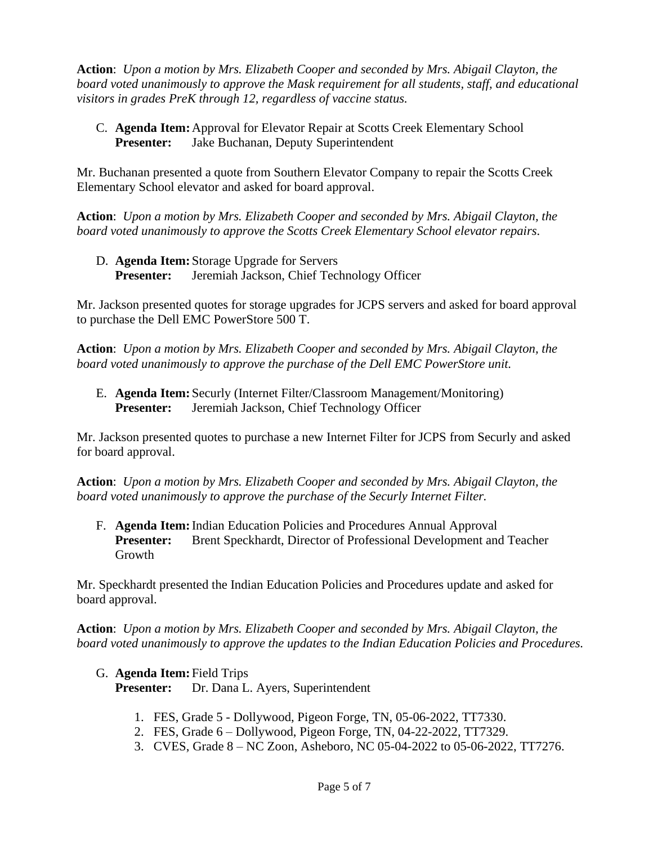**Action**: *Upon a motion by Mrs. Elizabeth Cooper and seconded by Mrs. Abigail Clayton, the board voted unanimously to approve the Mask requirement for all students, staff, and educational visitors in grades PreK through 12, regardless of vaccine status.*

C. **Agenda Item:**Approval for Elevator Repair at Scotts Creek Elementary School **Presenter:** Jake Buchanan, Deputy Superintendent

Mr. Buchanan presented a quote from Southern Elevator Company to repair the Scotts Creek Elementary School elevator and asked for board approval.

**Action**: *Upon a motion by Mrs. Elizabeth Cooper and seconded by Mrs. Abigail Clayton, the board voted unanimously to approve the Scotts Creek Elementary School elevator repairs.*

D. **Agenda Item:** Storage Upgrade for Servers **Presenter:** Jeremiah Jackson, Chief Technology Officer

Mr. Jackson presented quotes for storage upgrades for JCPS servers and asked for board approval to purchase the Dell EMC PowerStore 500 T.

**Action**: *Upon a motion by Mrs. Elizabeth Cooper and seconded by Mrs. Abigail Clayton, the board voted unanimously to approve the purchase of the Dell EMC PowerStore unit.*

E. **Agenda Item:** Securly (Internet Filter/Classroom Management/Monitoring) **Presenter:** Jeremiah Jackson, Chief Technology Officer

Mr. Jackson presented quotes to purchase a new Internet Filter for JCPS from Securly and asked for board approval.

**Action**: *Upon a motion by Mrs. Elizabeth Cooper and seconded by Mrs. Abigail Clayton, the board voted unanimously to approve the purchase of the Securly Internet Filter.*

F. **Agenda Item:**Indian Education Policies and Procedures Annual Approval **Presenter:** Brent Speckhardt, Director of Professional Development and Teacher Growth

Mr. Speckhardt presented the Indian Education Policies and Procedures update and asked for board approval.

**Action**: *Upon a motion by Mrs. Elizabeth Cooper and seconded by Mrs. Abigail Clayton, the board voted unanimously to approve the updates to the Indian Education Policies and Procedures.*

G. **Agenda Item:** Field Trips

**Presenter:** Dr. Dana L. Ayers, Superintendent

- 1. FES, Grade 5 Dollywood, Pigeon Forge, TN, 05-06-2022, TT7330.
- 2. FES, Grade 6 Dollywood, Pigeon Forge, TN, 04-22-2022, TT7329.
- 3. CVES, Grade 8 NC Zoon, Asheboro, NC 05-04-2022 to 05-06-2022, TT7276.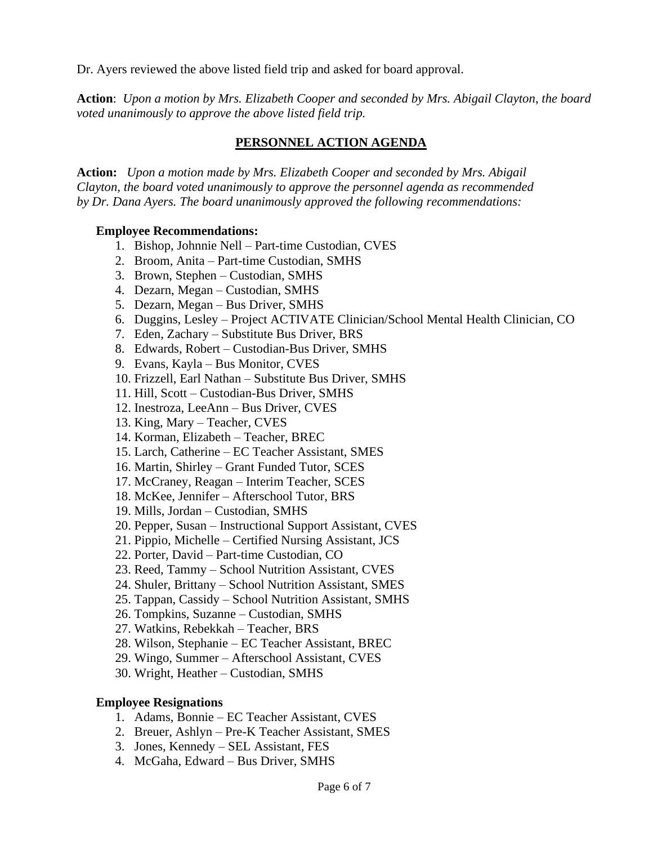Dr. Ayers reviewed the above listed field trip and asked for board approval.

**Action**: *Upon a motion by Mrs. Elizabeth Cooper and seconded by Mrs. Abigail Clayton, the board voted unanimously to approve the above listed field trip.*

# **PERSONNEL ACTION AGENDA**

**Action:** *Upon a motion made by Mrs. Elizabeth Cooper and seconded by Mrs. Abigail Clayton, the board voted unanimously to approve the personnel agenda as recommended by Dr. Dana Ayers. The board unanimously approved the following recommendations:*

### **Employee Recommendations:**

- 1. Bishop, Johnnie Nell Part-time Custodian, CVES
- 2. Broom, Anita Part-time Custodian, SMHS
- 3. Brown, Stephen Custodian, SMHS
- 4. Dezarn, Megan Custodian, SMHS
- 5. Dezarn, Megan Bus Driver, SMHS
- 6. Duggins, Lesley Project ACTIVATE Clinician/School Mental Health Clinician, CO
- 7. Eden, Zachary Substitute Bus Driver, BRS
- 8. Edwards, Robert Custodian-Bus Driver, SMHS
- 9. Evans, Kayla Bus Monitor, CVES
- 10. Frizzell, Earl Nathan Substitute Bus Driver, SMHS
- 11. Hill, Scott Custodian-Bus Driver, SMHS
- 12. Inestroza, LeeAnn Bus Driver, CVES
- 13. King, Mary Teacher, CVES
- 14. Korman, Elizabeth Teacher, BREC
- 15. Larch, Catherine EC Teacher Assistant, SMES
- 16. Martin, Shirley Grant Funded Tutor, SCES
- 17. McCraney, Reagan Interim Teacher, SCES
- 18. McKee, Jennifer Afterschool Tutor, BRS
- 19. Mills, Jordan Custodian, SMHS
- 20. Pepper, Susan Instructional Support Assistant, CVES
- 21. Pippio, Michelle Certified Nursing Assistant, JCS
- 22. Porter, David Part-time Custodian, CO
- 23. Reed, Tammy School Nutrition Assistant, CVES
- 24. Shuler, Brittany School Nutrition Assistant, SMES
- 25. Tappan, Cassidy School Nutrition Assistant, SMHS
- 26. Tompkins, Suzanne Custodian, SMHS
- 27. Watkins, Rebekkah Teacher, BRS
- 28. Wilson, Stephanie EC Teacher Assistant, BREC
- 29. Wingo, Summer Afterschool Assistant, CVES
- 30. Wright, Heather Custodian, SMHS

### **Employee Resignations**

- 1. Adams, Bonnie EC Teacher Assistant, CVES
- 2. Breuer, Ashlyn Pre-K Teacher Assistant, SMES
- 3. Jones, Kennedy SEL Assistant, FES
- 4. McGaha, Edward Bus Driver, SMHS